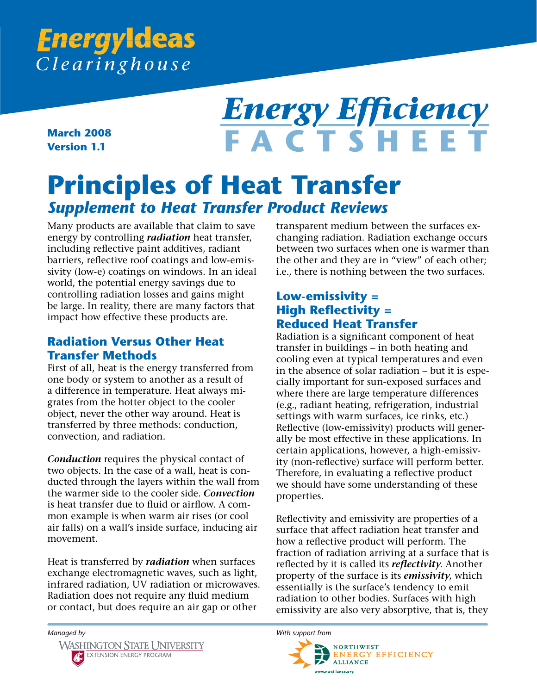# **EnergyIdeas** Clearinghouse

**March 2008 Version 1.1**

# **Energy Efficiency FACTSHEET**

# **Principles of Heat Transfer** *Supplement to Heat Transfer Product Reviews*

Many products are available that claim to save energy by controlling *radiation* heat transfer, including reflective paint additives, radiant barriers, reflective roof coatings and low-emissivity (low-e) coatings on windows. In an ideal world, the potential energy savings due to controlling radiation losses and gains might be large. In reality, there are many factors that impact how effective these products are.

# **Radiation Versus Other Heat Transfer Methods**

First of all, heat is the energy transferred from one body or system to another as a result of a difference in temperature. Heat always migrates from the hotter object to the cooler object, never the other way around. Heat is transferred by three methods: conduction, convection, and radiation.

*Conduction* requires the physical contact of two objects. In the case of a wall, heat is conducted through the layers within the wall from the warmer side to the cooler side. *Convection* is heat transfer due to fluid or airflow. A common example is when warm air rises (or cool air falls) on a wall's inside surface, inducing air movement.

Heat is transferred by *radiation* when surfaces exchange electromagnetic waves, such as light, infrared radiation, UV radiation or microwaves. Radiation does not require any fluid medium or contact, but does require an air gap or other

transparent medium between the surfaces exchanging radiation. Radiation exchange occurs between two surfaces when one is warmer than the other and they are in "view" of each other; i.e., there is nothing between the two surfaces.

## **Low-emissivity = High Reflectivity = Reduced Heat Transfer**

Radiation is a significant component of heat transfer in buildings – in both heating and cooling even at typical temperatures and even in the absence of solar radiation – but it is especially important for sun-exposed surfaces and where there are large temperature differences (e.g., radiant heating, refrigeration, industrial settings with warm surfaces, ice rinks, etc.) Reflective (low-emissivity) products will generally be most effective in these applications. In certain applications, however, a high-emissivity (non-reflective) surface will perform better. Therefore, in evaluating a reflective product we should have some understanding of these properties.

Reflectivity and emissivity are properties of a surface that affect radiation heat transfer and how a reflective product will perform. The fraction of radiation arriving at a surface that is reflected by it is called its *reflectivity*. Another property of the surface is its *emissivity*, which essentially is the surface's tendency to emit radiation to other bodies. Surfaces with high emissivity are also very absorptive, that is, they

*[Managed by](http://www.energy.wsu.edu) [With support from](http://www.nwalliance.org)*

**WASHINGTON STATE UNIVERSITY AND EXTENSION ENERGY PROGRAM** 

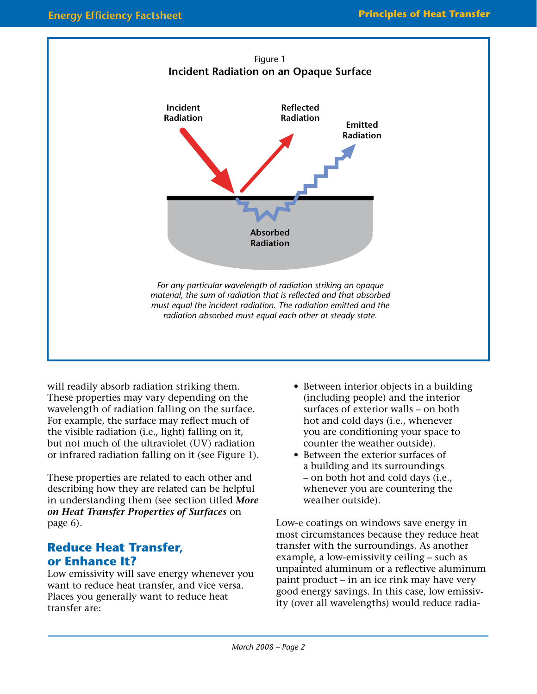

will readily absorb radiation striking them. These properties may vary depending on the wavelength of radiation falling on the surface. For example, the surface may reflect much of the visible radiation (i.e., light) falling on it, but not much of the ultraviolet (UV) radiation or infrared radiation falling on it (see Figure 1).

These properties are related to each other and describing how they are related can be helpful in understanding them (see section titled *More on Heat Transfer Properties of Surfaces* on page 6).

# **Reduce Heat Transfer, or Enhance It?**

Low emissivity will save energy whenever you want to reduce heat transfer, and vice versa. Places you generally want to reduce heat transfer are:

- Between interior objects in a building (including people) and the interior surfaces of exterior walls – on both hot and cold days (i.e., whenever you are conditioning your space to counter the weather outside).
- Between the exterior surfaces of a building and its surroundings – on both hot and cold days (i.e., whenever you are countering the weather outside).

Low-e coatings on windows save energy in most circumstances because they reduce heat transfer with the surroundings. As another example, a low-emissivity ceiling – such as unpainted aluminum or a reflective aluminum paint product – in an ice rink may have very good energy savings. In this case, low emissivity (over all wavelengths) would reduce radia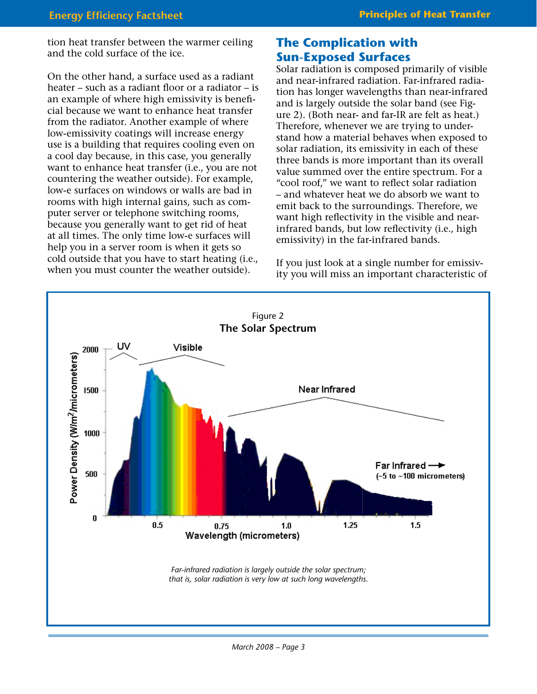tion heat transfer between the warmer ceiling and the cold surface of the ice.

On the other hand, a surface used as a radiant heater – such as a radiant floor or a radiator – is an example of where high emissivity is beneficial because we want to enhance heat transfer from the radiator. Another example of where low-emissivity coatings will increase energy use is a building that requires cooling even on a cool day because, in this case, you generally want to enhance heat transfer (i.e., you are not countering the weather outside). For example, low-e surfaces on windows or walls are bad in rooms with high internal gains, such as computer server or telephone switching rooms, because you generally want to get rid of heat at all times. The only time low-e surfaces will help you in a server room is when it gets so cold outside that you have to start heating (i.e., when you must counter the weather outside).

## **The Complication with Sun-Exposed Surfaces**

Solar radiation is composed primarily of visible and near-infrared radiation. Far-infrared radiation has longer wavelengths than near-infrared and is largely outside the solar band (see Figure 2). (Both near- and far-IR are felt as heat.) Therefore, whenever we are trying to understand how a material behaves when exposed to solar radiation, its emissivity in each of these three bands is more important than its overall value summed over the entire spectrum. For a "cool roof," we want to reflect solar radiation – and whatever heat we do absorb we want to emit back to the surroundings. Therefore, we want high reflectivity in the visible and nearinfrared bands, but low reflectivity (i.e., high emissivity) in the far-infrared bands.

If you just look at a single number for emissivity you will miss an important characteristic of

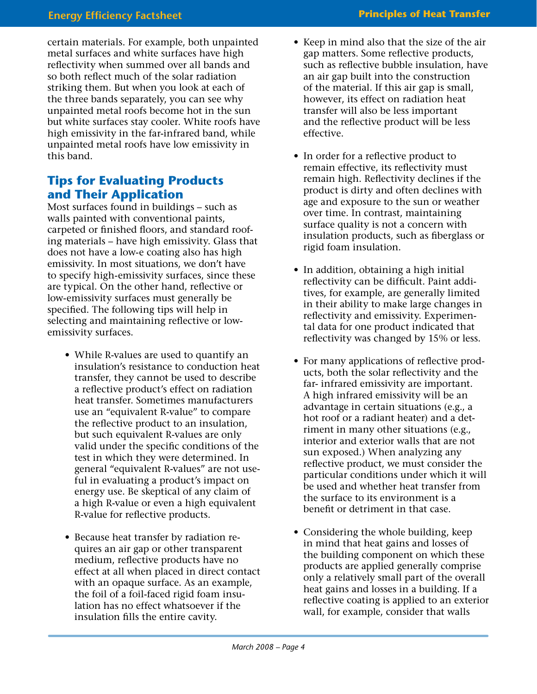certain materials. For example, both unpainted metal surfaces and white surfaces have high reflectivity when summed over all bands and so both reflect much of the solar radiation striking them. But when you look at each of the three bands separately, you can see why unpainted metal roofs become hot in the sun but white surfaces stay cooler. White roofs have high emissivity in the far-infrared band, while unpainted metal roofs have low emissivity in this band.

# **Tips for Evaluating Products and Their Application**

Most surfaces found in buildings – such as walls painted with conventional paints, carpeted or finished floors, and standard roofing materials – have high emissivity. Glass that does not have a low-e coating also has high emissivity. In most situations, we don't have to specify high-emissivity surfaces, since these are typical. On the other hand, reflective or low-emissivity surfaces must generally be specified. The following tips will help in selecting and maintaining reflective or lowemissivity surfaces.

- While R-values are used to quantify an insulation's resistance to conduction heat transfer, they cannot be used to describe a reflective product's effect on radiation heat transfer. Sometimes manufacturers use an "equivalent R-value" to compare the reflective product to an insulation, but such equivalent R-values are only valid under the specific conditions of the test in which they were determined. In general "equivalent R-values" are not useful in evaluating a product's impact on energy use. Be skeptical of any claim of a high R-value or even a high equivalent R-value for reflective products.
- Because heat transfer by radiation requires an air gap or other transparent medium, reflective products have no effect at all when placed in direct contact with an opaque surface. As an example, the foil of a foil-faced rigid foam insulation has no effect whatsoever if the insulation fills the entire cavity.
- Keep in mind also that the size of the air gap matters. Some reflective products, such as reflective bubble insulation, have an air gap built into the construction of the material. If this air gap is small, however, its effect on radiation heat transfer will also be less important and the reflective product will be less effective.
- In order for a reflective product to remain effective, its reflectivity must remain high. Reflectivity declines if the product is dirty and often declines with age and exposure to the sun or weather over time. In contrast, maintaining surface quality is not a concern with insulation products, such as fiberglass or rigid foam insulation.
- In addition, obtaining a high initial reflectivity can be difficult. Paint additives, for example, are generally limited in their ability to make large changes in reflectivity and emissivity. Experimental data for one product indicated that reflectivity was changed by 15% or less.
- For many applications of reflective products, both the solar reflectivity and the far- infrared emissivity are important. A high infrared emissivity will be an advantage in certain situations (e.g., a hot roof or a radiant heater) and a detriment in many other situations (e.g., interior and exterior walls that are not sun exposed.) When analyzing any reflective product, we must consider the particular conditions under which it will be used and whether heat transfer from the surface to its environment is a benefit or detriment in that case.
- Considering the whole building, keep in mind that heat gains and losses of the building component on which these products are applied generally comprise only a relatively small part of the overall heat gains and losses in a building. If a reflective coating is applied to an exterior wall, for example, consider that walls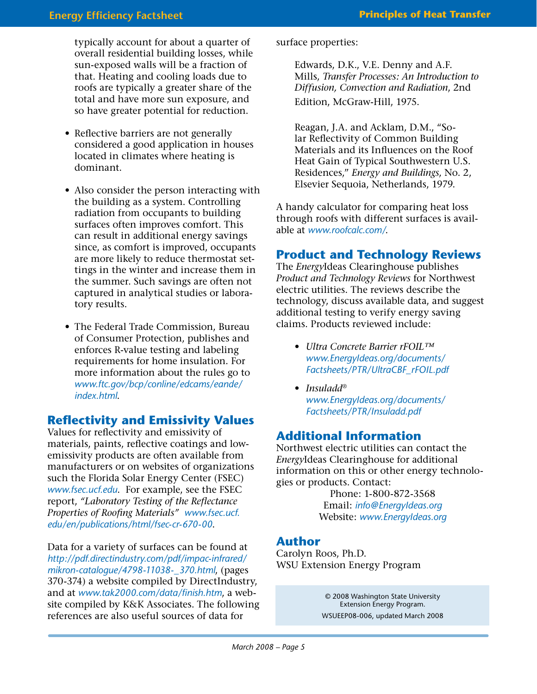#### **Energy Efficiency Factsheet**

typically account for about a quarter of overall residential building losses, while sun-exposed walls will be a fraction of that. Heating and cooling loads due to roofs are typically a greater share of the total and have more sun exposure, and so have greater potential for reduction.

- Reflective barriers are not generally considered a good application in houses located in climates where heating is dominant.
- Also consider the person interacting with the building as a system. Controlling radiation from occupants to building surfaces often improves comfort. This can result in additional energy savings since, as comfort is improved, occupants are more likely to reduce thermostat settings in the winter and increase them in the summer. Such savings are often not captured in analytical studies or laboratory results.
- The Federal Trade Commission, Bureau of Consumer Protection, publishes and enforces R-value testing and labeling requirements for home insulation. For [more information about the rules go to](http://www.ftc.gov/bcp/conline/edcams/eande/index.html)  *www.ftc.gov/bcp/conline/edcams/eande/ index.html*.

# **Reflectivity and Emissivity Values**

Values for reflectivity and emissivity of materials, paints, reflective coatings and lowemissivity products are often available from manufacturers or on websites of organizations [such the Florida Solar Energy Center \(FSEC\)](http://www.fsec.ucf.edu)  *www.fsec.ucf.edu*. For example, see the FSEC report, *"Laboratory Testing of the Reflectance Properties of Roofing Materials" www.fsec.ucf. [edu/en/publications/html/fsec-cr-670-00](http://www.fsec.ucf.edu/en/publications/html/fsec-cr-670-00)*.

[Data for a variety of surfaces can be found at](http://pdf.directindustry.com/pdf/impac-infrared/mikron-catalogue/4798-11038-_370.html)  *http://pdf.directindustry.com/pdf/impac-infrared/ mikron-catalogue/4798-11038-\_370.html*, (pages 370-374) a website compiled by DirectIndustry, and at *www.tak2000.com/data/finish.htm*, a web[site compiled by K&K Associates. The following](http://www.tak2000.com/data/finish.htm) references are also useful sources of data for

surface properties:

Edwards, D.K., V.E. Denny and A.F. Mills, *Transfer Processes: An Introduction to Diffusion, Convection and Radiation*, 2nd Edition, McGraw-Hill, 1975.

Reagan, J.A. and Acklam, D.M., "Solar Reflectivity of Common Building Materials and its Influences on the Roof Heat Gain of Typical Southwestern U.S. Residences," *Energy and Buildings*, No. 2, Elsevier Sequoia, Netherlands, 1979.

A handy calculator for comparing heat loss [through roofs with different surfaces is avail](http://www.roofcalc.com/)able at *www.roofcalc.com/*.

# **Product and Technology Reviews**

The *Energy*Ideas Clearinghouse publishes *Product and Technology Reviews* for Northwest electric utilities. The reviews describe the technology, discuss available data, and suggest additional testing to verify energy saving claims. Products reviewed include:

- *Ultra Concrete Barrier rFOIL™ www.EnergyIdeas.org/documents/ [Factsheets/PTR/UltraCBF\\_rFOIL.pdf](http://www.EnergyIdeas.org/documents/Factsheets/PTR/UltraCBF_rFOIL.pdf)*
- *Insuladd® [www.EnergyIdeas.org/documents/](http://www.EnergyIdeas.org/documents/Factsheets/PTR/Insuladd.pdf)  Factsheets/PTR/Insuladd.pdf*

#### **Additional Information**

Northwest electric utilities can contact the *Energy*Ideas Clearinghouse for additional information on this or other energy technologies or products. Contact:

> Phone: 1-800-872-3568 Email: *[info@EnergyIdeas.org](mailto: Info@EnergyIdeas.org)* Website: *[www.EnergyIdeas.org](http://www.EnergyIdeas.org)*

#### **Author**

Carolyn Roos, Ph.D. WSU Extension Energy Program

> © 2008 Washington State University Extension Energy Program. [WSUEEP08-006, updated March 2008](http://www.energy.wsu.edu)